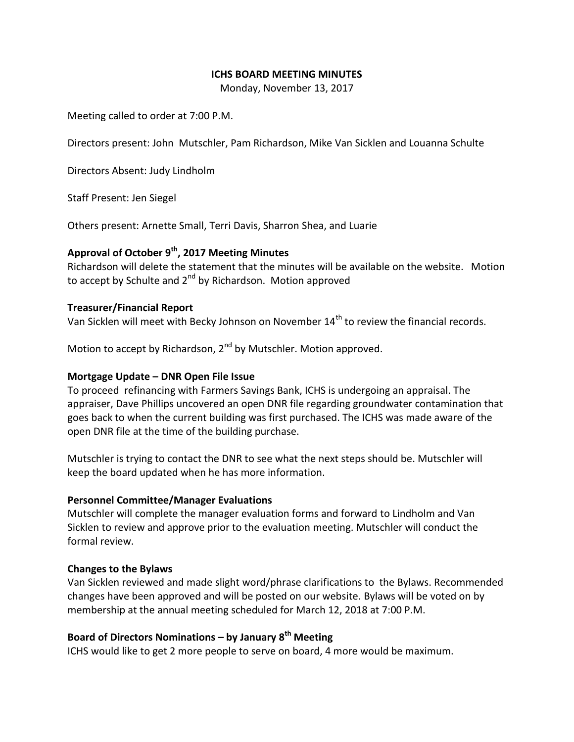## **ICHS BOARD MEETING MINUTES**

Monday, November 13, 2017

Meeting called to order at 7:00 P.M.

Directors present: John Mutschler, Pam Richardson, Mike Van Sicklen and Louanna Schulte

Directors Absent: Judy Lindholm

Staff Present: Jen Siegel

Others present: Arnette Small, Terri Davis, Sharron Shea, and Luarie

# **Approval of October 9th, 2017 Meeting Minutes**

Richardson will delete the statement that the minutes will be available on the website. Motion to accept by Schulte and  $2<sup>nd</sup>$  by Richardson. Motion approved

### **Treasurer/Financial Report**

Van Sicklen will meet with Becky Johnson on November 14<sup>th</sup> to review the financial records.

Motion to accept by Richardson, 2<sup>nd</sup> by Mutschler. Motion approved.

## **Mortgage Update – DNR Open File Issue**

To proceed refinancing with Farmers Savings Bank, ICHS is undergoing an appraisal. The appraiser, Dave Phillips uncovered an open DNR file regarding groundwater contamination that goes back to when the current building was first purchased. The ICHS was made aware of the open DNR file at the time of the building purchase.

Mutschler is trying to contact the DNR to see what the next steps should be. Mutschler will keep the board updated when he has more information.

#### **Personnel Committee/Manager Evaluations**

Mutschler will complete the manager evaluation forms and forward to Lindholm and Van Sicklen to review and approve prior to the evaluation meeting. Mutschler will conduct the formal review.

#### **Changes to the Bylaws**

Van Sicklen reviewed and made slight word/phrase clarifications to the Bylaws. Recommended changes have been approved and will be posted on our website. Bylaws will be voted on by membership at the annual meeting scheduled for March 12, 2018 at 7:00 P.M.

# **Board of Directors Nominations – by January 8th Meeting**

ICHS would like to get 2 more people to serve on board, 4 more would be maximum.